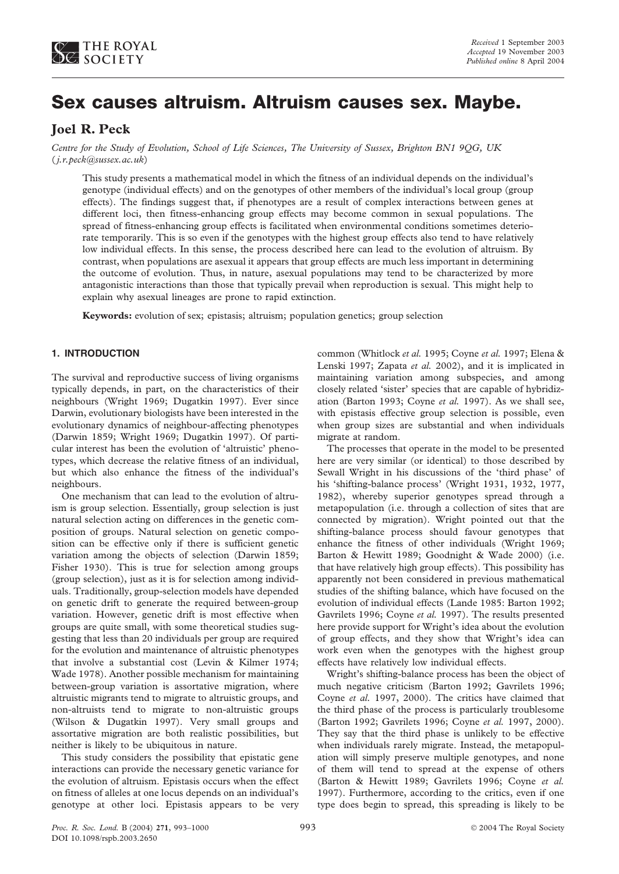

# **Sex causes altruism. Altruism causes sex. Maybe.**

# **Joel R. Peck**

*Centre for the Study of Evolution, School of Life Sciences, The University of Sussex, Brighton BN1 9QG, UK* (*j.r.peck@sussex.ac.uk*)

This study presents a mathematical model in which the fitness of an individual depends on the individual's genotype (individual effects) and on the genotypes of other members of the individual's local group (group effects). The findings suggest that, if phenotypes are a result of complex interactions between genes at different loci, then fitness-enhancing group effects may become common in sexual populations. The spread of fitness-enhancing group effects is facilitated when environmental conditions sometimes deteriorate temporarily. This is so even if the genotypes with the highest group effects also tend to have relatively low individual effects. In this sense, the process described here can lead to the evolution of altruism. By contrast, when populations are asexual it appears that group effects are much less important in determining the outcome of evolution. Thus, in nature, asexual populations may tend to be characterized by more antagonistic interactions than those that typically prevail when reproduction is sexual. This might help to explain why asexual lineages are prone to rapid extinction.

**Keywords:** evolution of sex; epistasis; altruism; population genetics; group selection

# **1. INTRODUCTION**

The survival and reproductive success of living organisms typically depends, in part, on the characteristics of their neighbours (Wright 1969; Dugatkin 1997). Ever since Darwin, evolutionary biologists have been interested in the evolutionary dynamics of neighbour-affecting phenotypes (Darwin 1859; Wright 1969; Dugatkin 1997). Of particular interest has been the evolution of 'altruistic' phenotypes, which decrease the relative fitness of an individual, but which also enhance the fitness of the individual's neighbours.

One mechanism that can lead to the evolution of altruism is group selection. Essentially, group selection is just natural selection acting on differences in the genetic composition of groups. Natural selection on genetic composition can be effective only if there is sufficient genetic variation among the objects of selection (Darwin 1859; Fisher 1930). This is true for selection among groups (group selection), just as it is for selection among individuals. Traditionally, group-selection models have depended on genetic drift to generate the required between-group variation. However, genetic drift is most effective when groups are quite small, with some theoretical studies suggesting that less than 20 individuals per group are required for the evolution and maintenance of altruistic phenotypes that involve a substantial cost (Levin & Kilmer 1974; Wade 1978). Another possible mechanism for maintaining between-group variation is assortative migration, where altruistic migrants tend to migrate to altruistic groups, and non-altruists tend to migrate to non-altruistic groups (Wilson & Dugatkin 1997). Very small groups and assortative migration are both realistic possibilities, but neither is likely to be ubiquitous in nature.

This study considers the possibility that epistatic gene interactions can provide the necessary genetic variance for the evolution of altruism. Epistasis occurs when the effect on fitness of alleles at one locus depends on an individual's genotype at other loci. Epistasis appears to be very

common (Whitlock *et al.* 1995; Coyne *et al.* 1997; Elena & Lenski 1997; Zapata *et al.* 2002), and it is implicated in maintaining variation among subspecies, and among closely related 'sister' species that are capable of hybridization (Barton 1993; Coyne *et al.* 1997). As we shall see, with epistasis effective group selection is possible, even when group sizes are substantial and when individuals migrate at random.

The processes that operate in the model to be presented here are very similar (or identical) to those described by Sewall Wright in his discussions of the 'third phase' of his 'shifting-balance process' (Wright 1931, 1932, 1977, 1982), whereby superior genotypes spread through a metapopulation (i.e. through a collection of sites that are connected by migration). Wright pointed out that the shifting-balance process should favour genotypes that enhance the fitness of other individuals (Wright 1969; Barton & Hewitt 1989; Goodnight & Wade 2000) (i.e. that have relatively high group effects). This possibility has apparently not been considered in previous mathematical studies of the shifting balance, which have focused on the evolution of individual effects (Lande 1985: Barton 1992; Gavrilets 1996; Coyne *et al.* 1997). The results presented here provide support for Wright's idea about the evolution of group effects, and they show that Wright's idea can work even when the genotypes with the highest group effects have relatively low individual effects.

Wright's shifting-balance process has been the object of much negative criticism (Barton 1992; Gavrilets 1996; Coyne *et al.* 1997, 2000). The critics have claimed that the third phase of the process is particularly troublesome (Barton 1992; Gavrilets 1996; Coyne *et al.* 1997, 2000). They say that the third phase is unlikely to be effective when individuals rarely migrate. Instead, the metapopulation will simply preserve multiple genotypes, and none of them will tend to spread at the expense of others (Barton & Hewitt 1989; Gavrilets 1996; Coyne *et al.* 1997). Furthermore, according to the critics, even if one type does begin to spread, this spreading is likely to be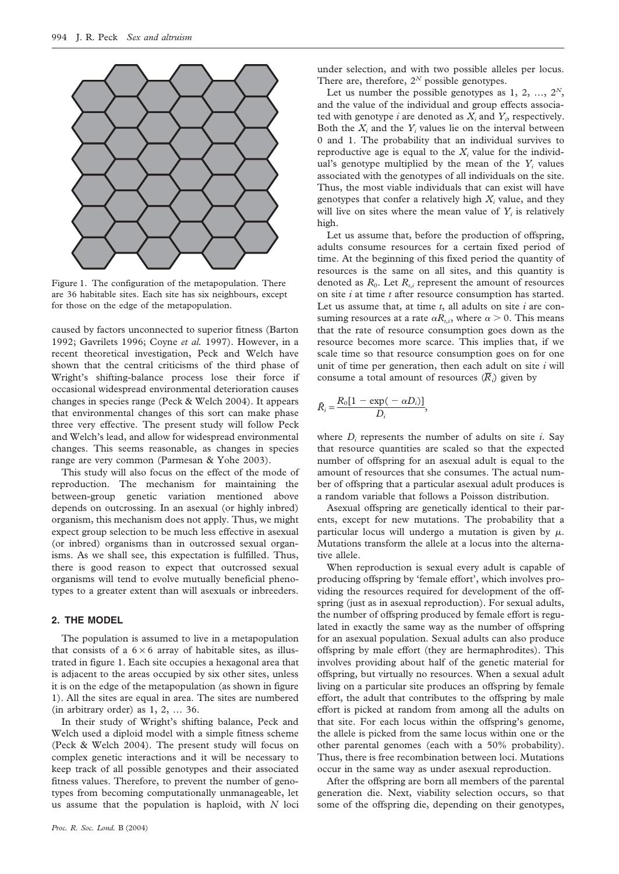

Figure 1. The configuration of the metapopulation. There are 36 habitable sites. Each site has six neighbours, except for those on the edge of the metapopulation.

caused by factors unconnected to superior fitness (Barton 1992; Gavrilets 1996; Coyne *et al.* 1997). However, in a recent theoretical investigation, Peck and Welch have shown that the central criticisms of the third phase of Wright's shifting-balance process lose their force if occasional widespread environmental deterioration causes changes in species range (Peck & Welch 2004). It appears that environmental changes of this sort can make phase three very effective. The present study will follow Peck and Welch's lead, and allow for widespread environmental changes. This seems reasonable, as changes in species range are very common (Parmesan & Yohe 2003).

This study will also focus on the effect of the mode of reproduction. The mechanism for maintaining the between-group genetic variation mentioned above depends on outcrossing. In an asexual (or highly inbred) organism, this mechanism does not apply. Thus, we might expect group selection to be much less effective in asexual (or inbred) organisms than in outcrossed sexual organisms. As we shall see, this expectation is fulfilled. Thus, there is good reason to expect that outcrossed sexual organisms will tend to evolve mutually beneficial phenotypes to a greater extent than will asexuals or inbreeders.

# **2. THE MODEL**

The population is assumed to live in a metapopulation that consists of a  $6 \times 6$  array of habitable sites, as illustrated in figure 1. Each site occupies a hexagonal area that is adjacent to the areas occupied by six other sites, unless it is on the edge of the metapopulation (as shown in figure 1). All the sites are equal in area. The sites are numbered (in arbitrary order) as 1, 2, … 36.

In their study of Wright's shifting balance, Peck and Welch used a diploid model with a simple fitness scheme (Peck & Welch 2004). The present study will focus on complex genetic interactions and it will be necessary to keep track of all possible genotypes and their associated fitness values. Therefore, to prevent the number of genotypes from becoming computationally unmanageable, let us assume that the population is haploid, with *N* loci

under selection, and with two possible alleles per locus. There are, therefore,  $2^N$  possible genotypes.

Let us number the possible genotypes as  $1, 2, ..., 2^N$ , and the value of the individual and group effects associated with genotype  $i$  are denoted as  $X_i$  and  $Y_i$ , respectively. Both the  $X_i$  and the  $Y_i$  values lie on the interval between 0 and 1. The probability that an individual survives to reproductive age is equal to the  $X_i$  value for the individual's genotype multiplied by the mean of the  $Y_i$  values associated with the genotypes of all individuals on the site. Thus, the most viable individuals that can exist will have genotypes that confer a relatively high  $X_i$  value, and they will live on sites where the mean value of  $Y_i$  is relatively high.

Let us assume that, before the production of offspring, adults consume resources for a certain fixed period of time. At the beginning of this fixed period the quantity of resources is the same on all sites, and this quantity is denoted as  $R_0$ . Let  $R_{i,i}$  represent the amount of resources on site *i* at time *t* after resource consumption has started. Let us assume that, at time *t*, all adults on site *i* are consuming resources at a rate  $\alpha R_{t,i}$ , where  $\alpha > 0$ . This means that the rate of resource consumption goes down as the resource becomes more scarce. This implies that, if we scale time so that resource consumption goes on for one unit of time per generation, then each adult on site *i* will consume a total amount of resources  $(\overline{R}_i)$  given by

$$
\bar{R}_i = \frac{R_0[1 - \exp(-\alpha D_i)]}{D_i},
$$

where  $D_i$  represents the number of adults on site  $i$ . Say that resource quantities are scaled so that the expected number of offspring for an asexual adult is equal to the amount of resources that she consumes. The actual number of offspring that a particular asexual adult produces is a random variable that follows a Poisson distribution.

Asexual offspring are genetically identical to their parents, except for new mutations. The probability that a particular locus will undergo a mutation is given by  $\mu$ . Mutations transform the allele at a locus into the alternative allele.

When reproduction is sexual every adult is capable of producing offspring by 'female effort', which involves providing the resources required for development of the offspring (just as in asexual reproduction). For sexual adults, the number of offspring produced by female effort is regulated in exactly the same way as the number of offspring for an asexual population. Sexual adults can also produce offspring by male effort (they are hermaphrodites). This involves providing about half of the genetic material for offspring, but virtually no resources. When a sexual adult living on a particular site produces an offspring by female effort, the adult that contributes to the offspring by male effort is picked at random from among all the adults on that site. For each locus within the offspring's genome, the allele is picked from the same locus within one or the other parental genomes (each with a 50% probability). Thus, there is free recombination between loci. Mutations occur in the same way as under asexual reproduction.

After the offspring are born all members of the parental generation die. Next, viability selection occurs, so that some of the offspring die, depending on their genotypes,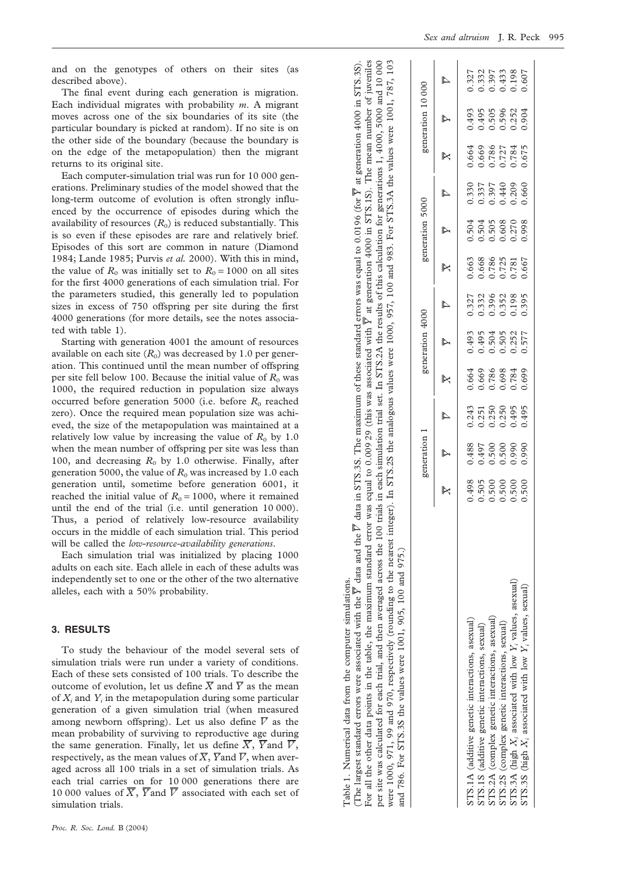and on the genotypes of others on their sites (as described above).

The final event during each generation is migration. Each individual migrates with probability *m*. A migrant moves across one of the six boundaries of its site (the particular boundary is picked at random). If no site is on the other side of the boundary (because the boundary is on the edge of the metapopulation) then the migrant returns to its original site.

Each computer-simulation trial was run for 10 000 generations. Preliminary studies of the model showed that the long-term outcome of evolution is often strongly influenced by the occurrence of episodes during which the availability of resources  $(R_0)$  is reduced substantially. This is so even if these episodes are rare and relatively brief. Episodes of this sort are common in nature (Diamond 1984; Lande 1985; Purvis *et al.* 2000). With this in mind, the value of  $R_0$  was initially set to  $R_0 = 1000$  on all sites for the first 4000 generations of each simulation trial. For the parameters studied, this generally led to population sizes in excess of 750 offspring per site during the first 4000 generations (for more details, see the notes associated with table 1).

Starting with generation 4001 the amount of resources available on each site  $(R_0)$  was decreased by 1.0 per generation. This continued until the mean number of offspring per site fell below 100. Because the initial value of  $R_0$  was 1000, the required reduction in population size always occurred before generation 5000 (i.e. before  $R_0$  reached zero). Once the required mean population size was achieved, the size of the metapopulation was maintained at a relatively low value by increasing the value of  $R_0$  by 1.0 when the mean number of offspring per site was less than 100, and decreasing  $R_0$  by 1.0 otherwise. Finally, after generation 5000, the value of  $R_0$  was increased by 1.0 each generation until, sometime before generation 6001, it reached the initial value of  $R_0 = 1000$ , where it remained until the end of the trial (i.e. until generation 10 000). Thus, a period of relatively low-resource availability occurs in the middle of each simulation trial. This period will be called the *low-resource-availability generations*.

Each simulation trial was initialized by placing 1000 adults on each site. Each allele in each of these adults was independently set to one or the other of the two alternative alleles, each with a 50% probability.

#### **3. RESULTS**

To study the behaviour of the model several sets of simulation trials were run under a variety of conditions. Each of these sets consisted of 100 trials. To describe the outcome of evolution, let us define  $\overline{X}$  and  $\overline{Y}$  as the mean of *Xi* and *Yi* in the metapopulation during some particular generation of a given simulation trial (when measured among newborn offspring). Let us also define  $\overline{V}$  as the mean probability of surviving to reproductive age during the same generation. Finally, let us define  $\overline{X}$ ,  $\overline{Y}$  and  $\overline{V}$ , respectively, as the mean values of  $\overline{X}$ ,  $\overline{Y}$  and  $\overline{V}$ , when averaged across all 100 trials in a set of simulation trials. As each trial carries on for 10 000 generations there are 10 000 values of  $\overline{X}$ ,  $\overline{Y}$  and  $\overline{V}$  associated with each set of simulation trials.

the maximum standard error was equal to 0.009 29 (this was associated with  $\overline{Y}$  at generation 4000 in STS.1S). The mean number of juveniles trial set. In STS.2A the results of this calculation for generations 1, 4000, 5000 and 10 000 at generation 4000 in STS.3S). at generation 4000 in STS.1S). The mean number of juveniles per site was calculated for each trial, and then averaged across the 100 trials in each simulation trial set. In STS.2A the results of this calculation for generations 1, 4000, 5000 and 10 000 were 1000, 971, 99 and 970, respectively (rounding to the nearest integer). In STS.2S the analogous values were 1000, 957, 100 and 983. For STS.3A the values were 1001, 787, 103 were 1000, 971, 99 and 970, respectively (rounding to the nearest integer). In STS.2S the analogous values were 1000, 957, 100 and 983. For STS.3A the values were 1001, 787, 103 at generation 4000 in STS.3S). *V*generation 1 generation 4000 generation 5000 generation 10 000 *YX YV* data in STS.3S. The maximum of these standard errors was equal to 0.0196 (for *YX V*For all the other data points in the table, the maximum standard error was equal to 0.009 29 (this was associated with *YX V*the 100 trials in each simulation *YX V* data and the and 786. For STS.3S the values were 1001, 905, 100 and 975.) For STS.3S the values were 1001, 905, 100 and 975. averaged across *Y*(The largest standard errors were associated with the then: the table, and<sub>1</sub> per site was calculated for each trial,  $\Xi$ For all the other data points and 786.

Table 1. Numerical data from the computer simulations.

Table 1. Numerical data from the computer simulations.

|                                                               |                                                                | reneration                                |                                                                |                                           | zeneration                                | 4000                                      |                                           | reneration                                                     | 5000                                     |                                           | generation 10 000                         |                                          |
|---------------------------------------------------------------|----------------------------------------------------------------|-------------------------------------------|----------------------------------------------------------------|-------------------------------------------|-------------------------------------------|-------------------------------------------|-------------------------------------------|----------------------------------------------------------------|------------------------------------------|-------------------------------------------|-------------------------------------------|------------------------------------------|
|                                                               | $\mathbb{R}$                                                   | $\overline{\triangleright}$               | $\overline{\mathbb{Z}}$                                        | $\overline{\mathbb{X}}$                   | $\overline{Y}$                            | $\overline{\mathbb{Z}}$                   | $\overline{\mathbb{R}}$                   | $\overline{\triangleright}$                                    | $\overline{\mathbb{Z}}$                  | $\overline{\mathbb{R}}$                   | $\overline{Y}$                            | $\overline{\mathbb{Z}}$                  |
| STS.1A (additive genetic interactions, asexual)               |                                                                |                                           |                                                                |                                           |                                           |                                           |                                           |                                                                |                                          |                                           |                                           |                                          |
| STS.1S (additive genetic interactions, sexual)                |                                                                |                                           |                                                                |                                           |                                           |                                           |                                           |                                                                |                                          |                                           |                                           |                                          |
| STS.2A (complex genetic interactions, asexual)                | $0.498$<br>$0.505$<br>$0.500$<br>$0.500$<br>$0.500$<br>$0.500$ | 0.488<br>0.497<br>0.500<br>0.990<br>0.990 | $0.243$<br>$0.251$<br>$0.250$<br>$0.250$<br>$0.495$<br>$0.495$ | 0.664<br>0.669<br>0.698<br>0.698<br>0.699 | 0.493<br>0.495<br>0.504<br>0.552<br>0.577 | 1.327<br>1.332<br>1.396<br>1.985<br>1.395 | 0.663<br>0.668<br>0.725<br>0.781<br>0.667 | $0.504$<br>$0.503$<br>$0.505$<br>$0.008$<br>$0.270$<br>$0.998$ | 0.330<br>0.337<br>0.440<br>0.209<br>0.60 | 0.664<br>0.669<br>0.727<br>0.675<br>0.675 | 0.493<br>0.495<br>0.506<br>0.252<br>0.904 | 1327<br>1332<br>1.433<br>1.98<br>100.607 |
| STS.2S (complex genetic interactions, sexual)                 |                                                                |                                           |                                                                |                                           |                                           |                                           |                                           |                                                                |                                          |                                           |                                           |                                          |
| STS.3A (high $X_i$ associated with low $Y_i$ values, asexual) |                                                                |                                           |                                                                |                                           |                                           |                                           |                                           |                                                                |                                          |                                           |                                           |                                          |
| STS.3S (high $X_i$ associated with low $Y_i$ values, sexual)  |                                                                |                                           |                                                                |                                           |                                           |                                           |                                           |                                                                |                                          |                                           |                                           |                                          |
|                                                               |                                                                |                                           |                                                                |                                           |                                           |                                           |                                           |                                                                |                                          |                                           |                                           |                                          |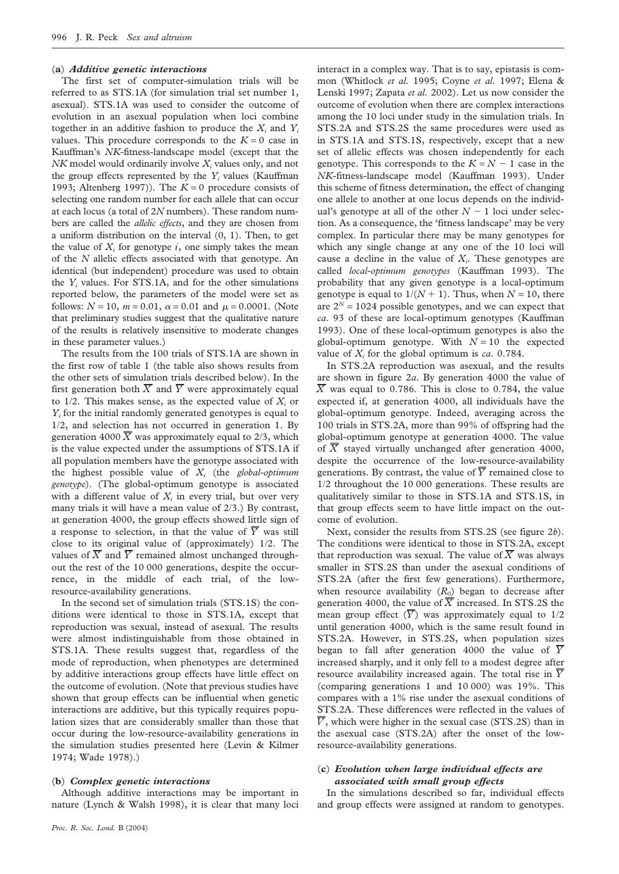#### (**a**) *Additive genetic interactions*

The first set of computer-simulation trials will be referred to as STS.1A (for simulation trial set number 1, asexual). STS.1A was used to consider the outcome of evolution in an asexual population when loci combine together in an additive fashion to produce the  $X_i$  and  $Y_i$ values. This procedure corresponds to the  $K = 0$  case in Kauffman's *NK*-fitness-landscape model (except that the *NK* model would ordinarily involve *X<sub>i</sub>* values only, and not the group effects represented by the  $Y_i$  values (Kauffman 1993; Altenberg 1997)). The  $K = 0$  procedure consists of selecting one random number for each allele that can occur at each locus (a total of 2*N* numbers). These random numbers are called the *allelic effects*, and they are chosen from a uniform distribution on the interval (0, 1). Then, to get the value of  $X_i$  for genotype  $i$ , one simply takes the mean of the *N* allelic effects associated with that genotype. An identical (but independent) procedure was used to obtain the *Yi* values. For STS.1A, and for the other simulations reported below, the parameters of the model were set as follows:  $N = 10$ ,  $m = 0.01$ ,  $\alpha = 0.01$  and  $\mu = 0.0001$ . (Note that preliminary studies suggest that the qualitative nature of the results is relatively insensitive to moderate changes in these parameter values.)

The results from the 100 trials of STS.1A are shown in the first row of table 1 (the table also shows results from the other sets of simulation trials described below). In the first generation both  $\overline{X}$  and  $\overline{Y}$  were approximately equal to  $1/2$ . This makes sense, as the expected value of  $X_i$  or *Y<sub>i</sub>* for the initial randomly generated genotypes is equal to 1/2, and selection has not occurred in generation 1. By generation 4000  $\overline{X}$  was approximately equal to 2/3, which is the value expected under the assumptions of STS.1A if all population members have the genotype associated with the highest possible value of *Xi* (the *global-optimum genotype*). (The global-optimum genotype is associated with a different value of  $X_i$  in every trial, but over very many trials it will have a mean value of 2/3.) By contrast, at generation 4000, the group effects showed little sign of a response to selection, in that the value of  $\overline{Y}$  was still close to its original value of (approximately) 1/2. The values of  $\overline{X}$  and  $\overline{Y}$  remained almost unchanged throughout the rest of the 10 000 generations, despite the occurrence, in the middle of each trial, of the lowresource-availability generations.

In the second set of simulation trials (STS.1S) the conditions were identical to those in STS.1A, except that reproduction was sexual, instead of asexual. The results were almost indistinguishable from those obtained in STS.1A. These results suggest that, regardless of the mode of reproduction, when phenotypes are determined by additive interactions group effects have little effect on the outcome of evolution. (Note that previous studies have shown that group effects can be influential when genetic interactions are additive, but this typically requires population sizes that are considerably smaller than those that occur during the low-resource-availability generations in the simulation studies presented here (Levin & Kilmer 1974; Wade 1978).)

#### (**b**) *Complex genetic interactions*

Although additive interactions may be important in nature (Lynch & Walsh 1998), it is clear that many loci

interact in a complex way. That is to say, epistasis is common (Whitlock *et al.* 1995; Coyne *et al.* 1997; Elena & Lenski 1997; Zapata *et al.* 2002). Let us now consider the outcome of evolution when there are complex interactions among the 10 loci under study in the simulation trials. In STS.2A and STS.2S the same procedures were used as in STS.1A and STS.1S, respectively, except that a new set of allelic effects was chosen independently for each genotype. This corresponds to the  $K = N - 1$  case in the *NK*-fitness-landscape model (Kauffman 1993). Under this scheme of fitness determination, the effect of changing one allele to another at one locus depends on the individual's genotype at all of the other  $N - 1$  loci under selection. As a consequence, the 'fitness landscape' may be very complex. In particular there may be many genotypes for which any single change at any one of the 10 loci will cause a decline in the value of  $X_i$ . These genotypes are called *local-optimum genotypes* (Kauffman 1993). The probability that any given genotype is a local-optimum genotype is equal to  $1/(N + 1)$ . Thus, when  $N = 10$ , there are  $2^N = 1024$  possible genotypes, and we can expect that *ca*. 93 of these are local-optimum genotypes (Kauffman 1993). One of these local-optimum genotypes is also the global-optimum genotype. With  $N = 10$  the expected value of  $X_i$  for the global optimum is *ca*. 0.784.

In STS.2A reproduction was asexual, and the results are shown in figure 2*a*. By generation 4000 the value of  $\overline{X}$  was equal to 0.786. This is close to 0.784, the value expected if, at generation 4000, all individuals have the global-optimum genotype. Indeed, averaging across the 100 trials in STS.2A, more than 99% of offspring had the global-optimum genotype at generation 4000. The value of  $\overline{X}$  stayed virtually unchanged after generation 4000, despite the occurrence of the low-resource-availability generations. By contrast, the value of  $\overline{Y}$  remained close to 1/2 throughout the 10 000 generations. These results are qualitatively similar to those in STS.1A and STS.1S, in that group effects seem to have little impact on the outcome of evolution.

Next, consider the results from STS.2S (see figure 2*b*). The conditions were identical to those in STS.2A, except that reproduction was sexual. The value of  $\overline{X}$  was always smaller in STS.2S than under the asexual conditions of STS.2A (after the first few generations). Furthermore, when resource availability  $(R_0)$  began to decrease after generation 4000, the value of  $\overline{X}$  increased. In STS.2S the mean group effect  $(\overline{Y})$  was approximately equal to 1/2 until generation 4000, which is the same result found in STS.2A. However, in STS.2S, when population sizes began to fall after generation 4000 the value of  $\overline{Y}$ increased sharply, and it only fell to a modest degree after resource availability increased again. The total rise in  $\overline{Y}$ (comparing generations 1 and 10 000) was 19%. This compares with a 1% rise under the asexual conditions of STS.2A. These differences were reflected in the values of  $\overline{V}$ , which were higher in the sexual case (STS.2S) than in the asexual case (STS.2A) after the onset of the lowresource-availability generations.

## (**c**) *Evolution when large individual effects are associated with small group effects*

In the simulations described so far, individual effects and group effects were assigned at random to genotypes.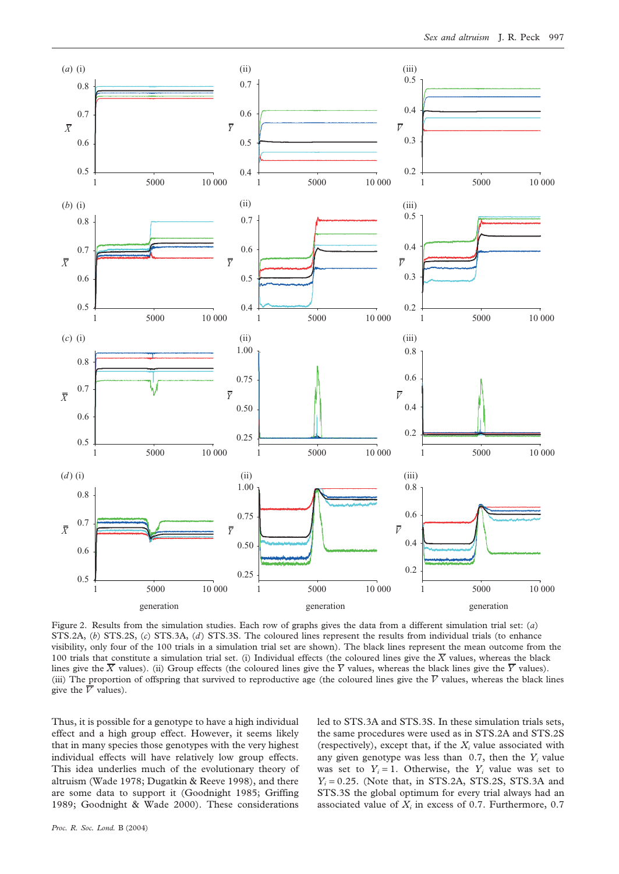

Figure 2. Results from the simulation studies. Each row of graphs gives the data from a different simulation trial set: (*a*) STS.2A, (*b*) STS.2S, (*c*) STS.3A, (*d*) STS.3S. The coloured lines represent the results from individual trials (to enhance visibility, only four of the 100 trials in a simulation trial set are shown). The black lines represent the mean outcome from the 100 trials that constitute a simulation trial set. (i) Individual effects (the coloured lines give the  $\overline{X}$  values, whereas the black lines give the  $\overline{X}$  values). (ii) Group effects (the coloured lines give the  $\overline{Y}$  values, whereas the black lines give the  $\overline{Y}$  values). (iii) The proportion of offspring that survived to reproductive age (the coloured lines give the  $\bar{V}$  values, whereas the black lines give the  $\overline{V}$  values).

Thus, it is possible for a genotype to have a high individual effect and a high group effect. However, it seems likely that in many species those genotypes with the very highest individual effects will have relatively low group effects. This idea underlies much of the evolutionary theory of altruism (Wade 1978; Dugatkin & Reeve 1998), and there are some data to support it (Goodnight 1985; Griffing 1989; Goodnight & Wade 2000). These considerations

led to STS.3A and STS.3S. In these simulation trials sets, the same procedures were used as in STS.2A and STS.2S (respectively), except that, if the  $X_i$  value associated with any given genotype was less than 0.7, then the *Yi* value was set to  $Y_i = 1$ . Otherwise, the  $Y_i$  value was set to  $Y_i = 0.25$ . (Note that, in STS.2A, STS.2S, STS.3A and STS.3S the global optimum for every trial always had an associated value of  $X_i$  in excess of 0.7. Furthermore, 0.7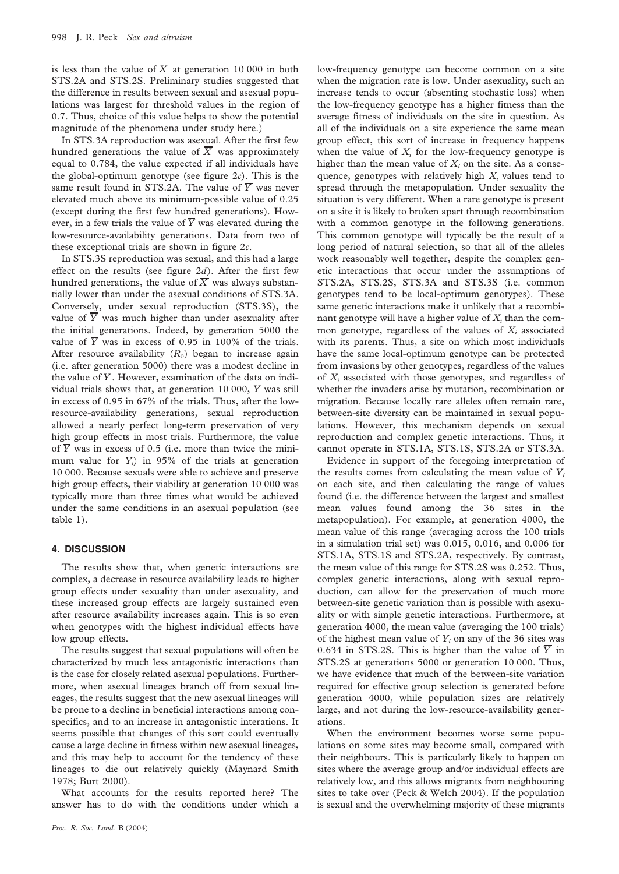is less than the value of  $\overline{X}$  at generation 10 000 in both STS.2A and STS.2S. Preliminary studies suggested that the difference in results between sexual and asexual populations was largest for threshold values in the region of 0.7. Thus, choice of this value helps to show the potential magnitude of the phenomena under study here.)

In STS.3A reproduction was asexual. After the first few hundred generations the value of  $\overline{X}$  was approximately equal to 0.784, the value expected if all individuals have the global-optimum genotype (see figure 2*c*). This is the same result found in STS.2A. The value of  $\overline{Y}$  was never elevated much above its minimum-possible value of 0.25 (except during the first few hundred generations). However, in a few trials the value of  $\overline{Y}$  was elevated during the low-resource-availability generations. Data from two of these exceptional trials are shown in figure 2*c*.

In STS.3S reproduction was sexual, and this had a large effect on the results (see figure 2*d*). After the first few hundred generations, the value of  $\overline{X}$  was always substantially lower than under the asexual conditions of STS.3A. Conversely, under sexual reproduction (STS.3S), the value of  $\overline{Y}$  was much higher than under asexuality after the initial generations. Indeed, by generation 5000 the value of  $\overline{Y}$  was in excess of 0.95 in 100% of the trials. After resource availability  $(R_0)$  began to increase again (i.e. after generation 5000) there was a modest decline in the value of  $\overline{Y}$ . However, examination of the data on individual trials shows that, at generation 10 000,  $\overline{Y}$  was still in excess of 0.95 in 67% of the trials. Thus, after the lowresource-availability generations, sexual reproduction allowed a nearly perfect long-term preservation of very high group effects in most trials. Furthermore, the value of  $\overline{Y}$  was in excess of 0.5 (i.e. more than twice the minimum value for *Yi* ) in 95% of the trials at generation 10 000. Because sexuals were able to achieve and preserve high group effects, their viability at generation 10 000 was typically more than three times what would be achieved under the same conditions in an asexual population (see table 1).

# **4. DISCUSSION**

The results show that, when genetic interactions are complex, a decrease in resource availability leads to higher group effects under sexuality than under asexuality, and these increased group effects are largely sustained even after resource availability increases again. This is so even when genotypes with the highest individual effects have low group effects.

The results suggest that sexual populations will often be characterized by much less antagonistic interactions than is the case for closely related asexual populations. Furthermore, when asexual lineages branch off from sexual lineages, the results suggest that the new asexual lineages will be prone to a decline in beneficial interactions among conspecifics, and to an increase in antagonistic interations. It seems possible that changes of this sort could eventually cause a large decline in fitness within new asexual lineages, and this may help to account for the tendency of these lineages to die out relatively quickly (Maynard Smith 1978; Burt 2000).

What accounts for the results reported here? The answer has to do with the conditions under which a low-frequency genotype can become common on a site when the migration rate is low. Under asexuality, such an increase tends to occur (absenting stochastic loss) when the low-frequency genotype has a higher fitness than the average fitness of individuals on the site in question. As all of the individuals on a site experience the same mean group effect, this sort of increase in frequency happens when the value of  $X_i$  for the low-frequency genotype is higher than the mean value of  $X_i$  on the site. As a consequence, genotypes with relatively high  $X_i$  values tend to spread through the metapopulation. Under sexuality the situation is very different. When a rare genotype is present on a site it is likely to broken apart through recombination with a common genotype in the following generations. This common genotype will typically be the result of a long period of natural selection, so that all of the alleles work reasonably well together, despite the complex genetic interactions that occur under the assumptions of STS.2A, STS.2S, STS.3A and STS.3S (i.e. common genotypes tend to be local-optimum genotypes). These same genetic interactions make it unlikely that a recombinant genotype will have a higher value of  $X_i$  than the common genotype, regardless of the values of  $X_i$  associated with its parents. Thus, a site on which most individuals have the same local-optimum genotype can be protected from invasions by other genotypes, regardless of the values of *Xi* associated with those genotypes, and regardless of whether the invaders arise by mutation, recombination or migration. Because locally rare alleles often remain rare, between-site diversity can be maintained in sexual populations. However, this mechanism depends on sexual reproduction and complex genetic interactions. Thus, it cannot operate in STS.1A, STS.1S, STS.2A or STS.3A.

Evidence in support of the foregoing interpretation of the results comes from calculating the mean value of  $Y_i$ on each site, and then calculating the range of values found (i.e. the difference between the largest and smallest mean values found among the 36 sites in the metapopulation). For example, at generation 4000, the mean value of this range (averaging across the 100 trials in a simulation trial set) was 0.015, 0.016, and 0.006 for STS.1A, STS.1S and STS.2A, respectively. By contrast, the mean value of this range for STS.2S was 0.252. Thus, complex genetic interactions, along with sexual reproduction, can allow for the preservation of much more between-site genetic variation than is possible with asexuality or with simple genetic interactions. Furthermore, at generation 4000, the mean value (averaging the 100 trials) of the highest mean value of  $Y_i$  on any of the 36 sites was 0.634 in STS.2S. This is higher than the value of  $\overline{Y}$  in STS.2S at generations 5000 or generation 10 000. Thus, we have evidence that much of the between-site variation required for effective group selection is generated before generation 4000, while population sizes are relatively large, and not during the low-resource-availability generations.

When the environment becomes worse some populations on some sites may become small, compared with their neighbours. This is particularly likely to happen on sites where the average group and/or individual effects are relatively low, and this allows migrants from neighbouring sites to take over (Peck & Welch 2004). If the population is sexual and the overwhelming majority of these migrants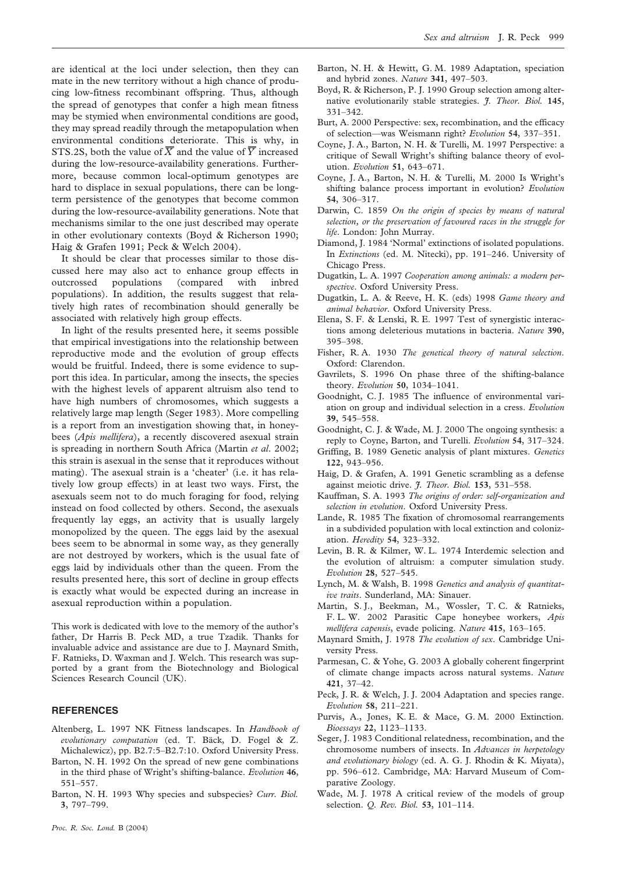are identical at the loci under selection, then they can mate in the new territory without a high chance of producing low-fitness recombinant offspring. Thus, although the spread of genotypes that confer a high mean fitness may be stymied when environmental conditions are good, they may spread readily through the metapopulation when environmental conditions deteriorate. This is why, in STS.2S, both the value of  $\overline{X}$  and the value of  $\overline{Y}$  increased during the low-resource-availability generations. Furthermore, because common local-optimum genotypes are hard to displace in sexual populations, there can be longterm persistence of the genotypes that become common during the low-resource-availability generations. Note that mechanisms similar to the one just described may operate in other evolutionary contexts (Boyd & Richerson 1990; Haig & Grafen 1991; Peck & Welch 2004).

It should be clear that processes similar to those discussed here may also act to enhance group effects in outcrossed populations (compared with inbred populations). In addition, the results suggest that relatively high rates of recombination should generally be associated with relatively high group effects.

In light of the results presented here, it seems possible that empirical investigations into the relationship between reproductive mode and the evolution of group effects would be fruitful. Indeed, there is some evidence to support this idea. In particular, among the insects, the species with the highest levels of apparent altruism also tend to have high numbers of chromosomes, which suggests a relatively large map length (Seger 1983). More compelling is a report from an investigation showing that, in honeybees (*Apis mellifera*), a recently discovered asexual strain is spreading in northern South Africa (Martin *et al*. 2002; this strain is asexual in the sense that it reproduces without mating). The asexual strain is a 'cheater' (i.e. it has relatively low group effects) in at least two ways. First, the asexuals seem not to do much foraging for food, relying instead on food collected by others. Second, the asexuals frequently lay eggs, an activity that is usually largely monopolized by the queen. The eggs laid by the asexual bees seem to be abnormal in some way, as they generally are not destroyed by workers, which is the usual fate of eggs laid by individuals other than the queen. From the results presented here, this sort of decline in group effects is exactly what would be expected during an increase in asexual reproduction within a population.

This work is dedicated with love to the memory of the author's father, Dr Harris B. Peck MD, a true Tzadik. Thanks for invaluable advice and assistance are due to J. Maynard Smith, F. Ratnieks, D. Waxman and J. Welch. This research was supported by a grant from the Biotechnology and Biological Sciences Research Council (UK).

## **REFERENCES**

- Altenberg, L. 1997 NK Fitness landscapes. In *Handbook of evolutionary computation* (ed. T. Bäck, D. Fogel & Z. Michalewicz), pp. B2.7:5–B2.7:10. Oxford University Press.
- Barton, N. H. 1992 On the spread of new gene combinations in the third phase of Wright's shifting-balance. *Evolution* **46**, 551–557.
- Barton, N. H. 1993 Why species and subspecies? *Curr. Biol.* **3**, 797–799.
- Barton, N. H. & Hewitt, G. M. 1989 Adaptation, speciation and hybrid zones. *Nature* **341**, 497–503.
- Boyd, R. & Richerson, P. J. 1990 Group selection among alternative evolutionarily stable strategies. *J. Theor. Biol.* **145**, 331–342.
- Burt, A. 2000 Perspective: sex, recombination, and the efficacy of selection—was Weismann right? *Evolution* **54**, 337–351.
- Coyne, J. A., Barton, N. H. & Turelli, M. 1997 Perspective: a critique of Sewall Wright's shifting balance theory of evolution. *Evolution* **51**, 643–671.
- Coyne, J. A., Barton, N. H. & Turelli, M. 2000 Is Wright's shifting balance process important in evolution? *Evolution* **54**, 306–317.
- Darwin, C. 1859 *On the origin of species by means of natural selection, or the preservation of favoured races in the struggle for life*. London: John Murray.
- Diamond, J. 1984 'Normal' extinctions of isolated populations. In *Extinctions* (ed. M. Nitecki), pp. 191–246. University of Chicago Press.
- Dugatkin, L. A. 1997 *Cooperation among animals: a modern perspective*. Oxford University Press.
- Dugatkin, L. A. & Reeve, H. K. (eds) 1998 *Game theory and animal behavior*. Oxford University Press.
- Elena, S. F. & Lenski, R. E. 1997 Test of synergistic interactions among deleterious mutations in bacteria. *Nature* **390**, 395–398.
- Fisher, R. A. 1930 *The genetical theory of natural selection*. Oxford: Clarendon.
- Gavrilets, S. 1996 On phase three of the shifting-balance theory. *Evolution* **50**, 1034–1041.
- Goodnight, C. J. 1985 The influence of environmental variation on group and individual selection in a cress. *Evolution* **39**, 545–558.
- Goodnight, C. J. & Wade, M. J. 2000 The ongoing synthesis: a reply to Coyne, Barton, and Turelli. *Evolution* **54**, 317–324.
- Griffing, B. 1989 Genetic analysis of plant mixtures. *Genetics* **122**, 943–956.
- Haig, D. & Grafen, A. 1991 Genetic scrambling as a defense against meiotic drive. *J. Theor. Biol.* **153**, 531–558.
- Kauffman, S. A. 1993 *The origins of order: self-organization and selection in evolution*. Oxford University Press.
- Lande, R. 1985 The fixation of chromosomal rearrangements in a subdivided population with local extinction and colonization. *Heredity* **54**, 323–332.
- Levin, B. R. & Kilmer, W. L. 1974 Interdemic selection and the evolution of altruism: a computer simulation study. *Evolution* **28**, 527–545.
- Lynch, M. & Walsh, B. 1998 *Genetics and analysis of quantitative traits*. Sunderland, MA: Sinauer.
- Martin, S. J., Beekman, M., Wossler, T. C. & Ratnieks, F. L. W. 2002 Parasitic Cape honeybee workers, *Apis mellifera capensis*, evade policing. *Nature* **415**, 163–165.
- Maynard Smith, J. 1978 *The evolution of sex*. Cambridge University Press.
- Parmesan, C. & Yohe, G. 2003 A globally coherent fingerprint of climate change impacts across natural systems. *Nature* **421**, 37–42.
- Peck, J. R. & Welch, J. J. 2004 Adaptation and species range. *Evolution* **58**, 211–221.
- Purvis, A., Jones, K. E. & Mace, G. M. 2000 Extinction. *Bioessays* **22**, 1123–1133.
- Seger, J. 1983 Conditional relatedness, recombination, and the chromosome numbers of insects. In *Advances in herpetology and evolutionary biology* (ed. A. G. J. Rhodin & K. Miyata), pp. 596–612. Cambridge, MA: Harvard Museum of Comparative Zoology.
- Wade, M. J. 1978 A critical review of the models of group selection. *Q. Rev. Biol.* **53**, 101–114.